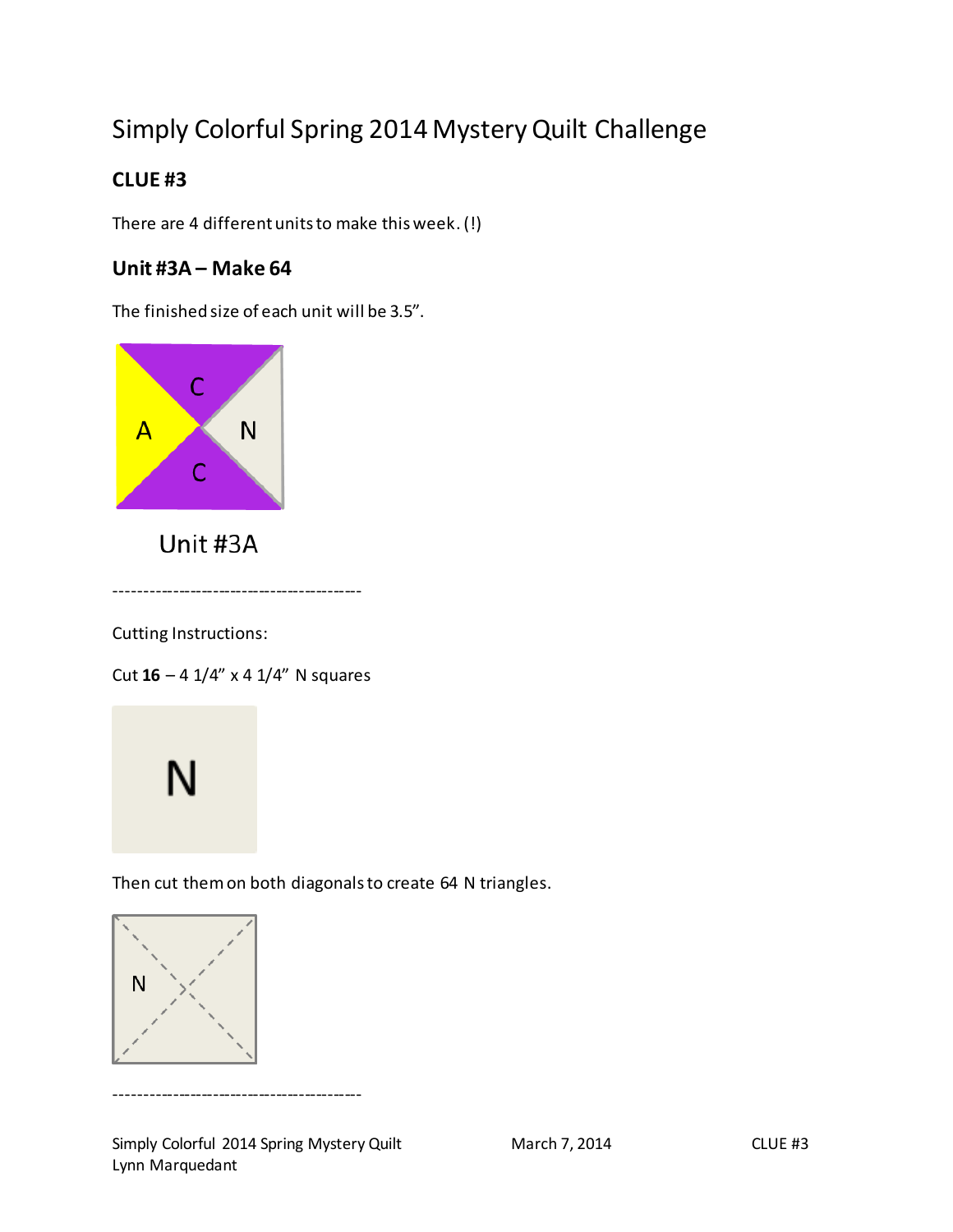# Simply Colorful Spring 2014 Mystery Quilt Challenge

# **CLUE #3**

There are 4 different units to make this week.(!)

## **Unit #3A – Make 64**

The finished size of each unit will be 3.5".



Unit #3A

-------------------------------------------

Cutting Instructions:

Cut **16** – 4 1/4" x 4 1/4" N squares



Then cut them on both diagonals to create 64 N triangles.



-------------------------------------------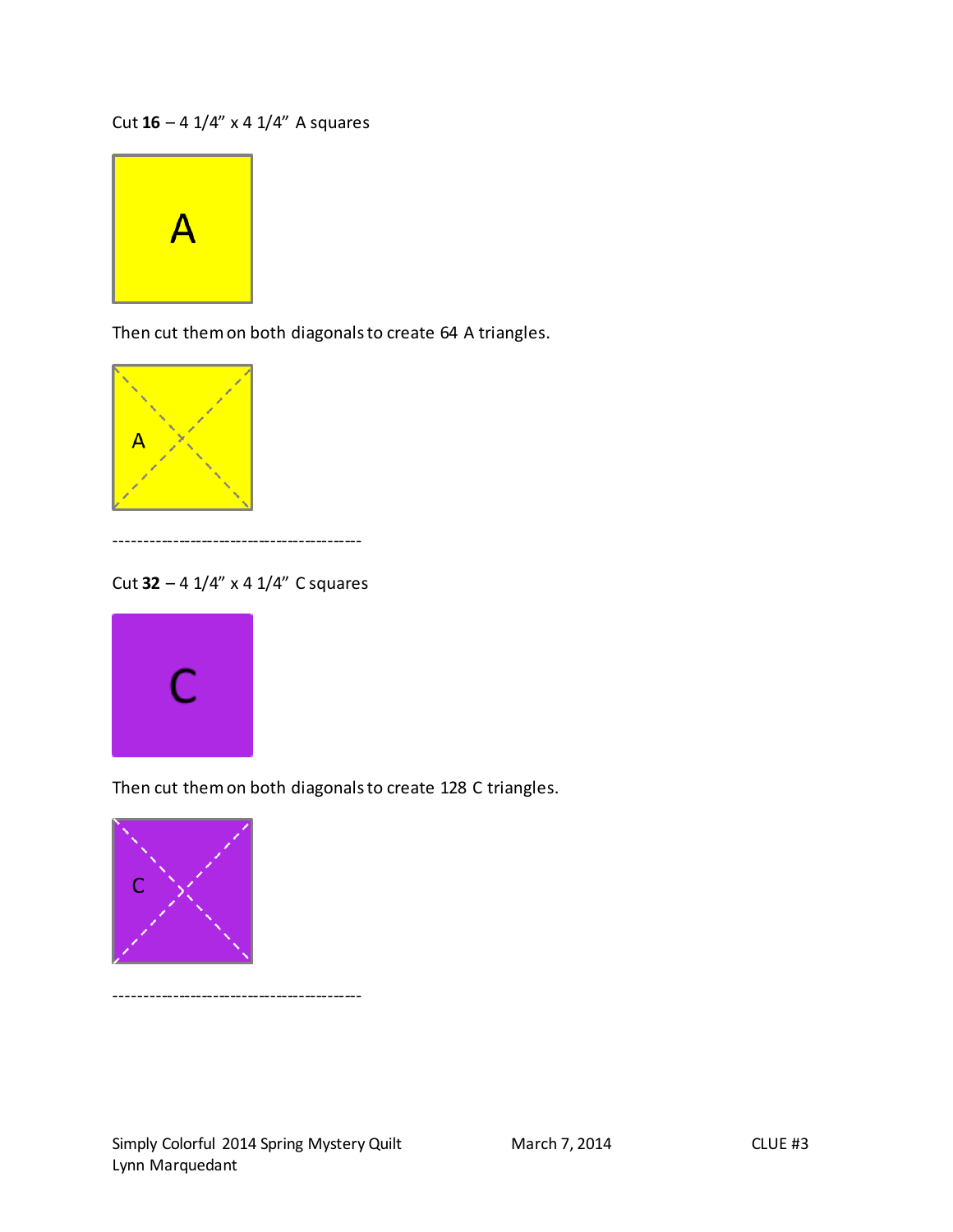Cut **16** – 4 1/4" x 4 1/4" A squares



Then cut them on both diagonals to create 64 A triangles.



-------------------------------------------

Cut **32** – 4 1/4" x 4 1/4" C squares



Then cut them on both diagonals to create 128 C triangles.



-------------------------------------------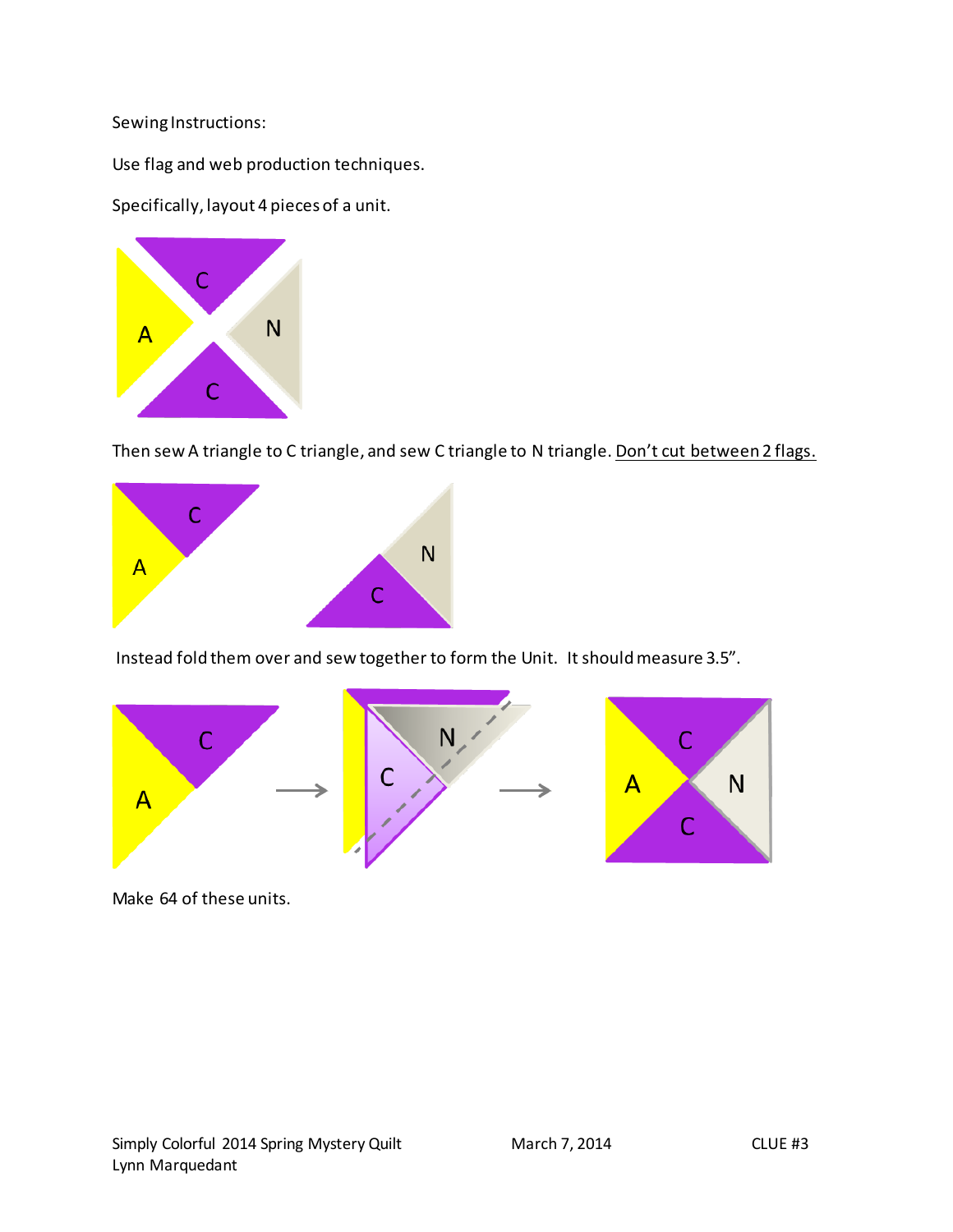Sewing Instructions:

Use flag and web production techniques.

Specifically, layout 4 pieces of a unit.



Then sew A triangle to C triangle, and sew C triangle to N triangle. Don't cut between 2 flags.



Instead fold them over and sew together to form the Unit. It should measure 3.5".



Make 64 of these units.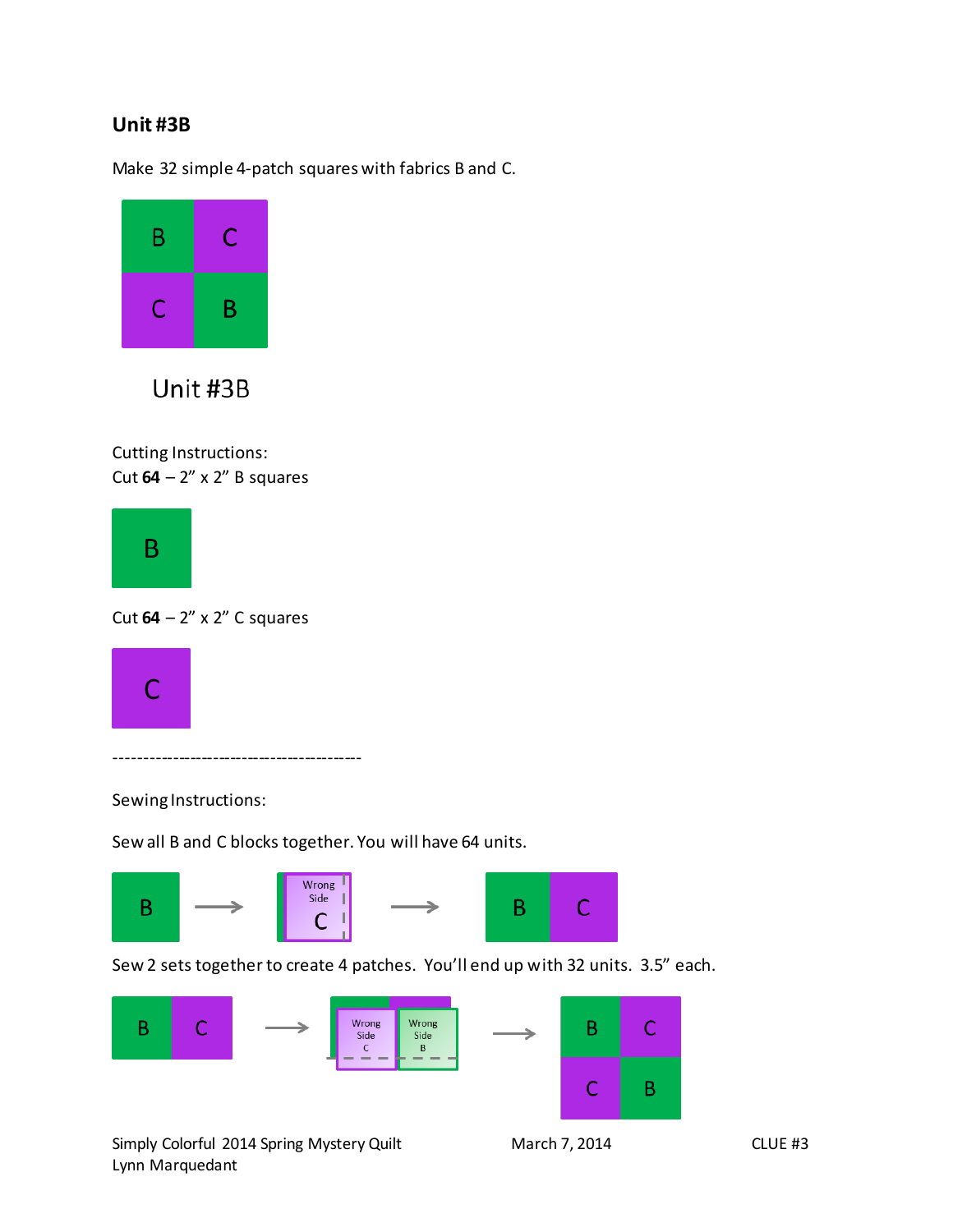#### **Unit #3B**

Make 32 simple 4-patch squares with fabrics B and C.



Unit #3B

Cutting Instructions: Cut **64** – 2" x 2" B squares



Cut **64** – 2" x 2" C squares



-------------------------------------------

Sewing Instructions:

Sew all B and C blocks together. You will have 64 units.



Sew 2 sets together to create 4 patches. You'll end up with 32 units. 3.5" each.



Simply Colorful 2014 Spring Mystery Quilt March 7, 2014 CLUE #3 Lynn Marquedant